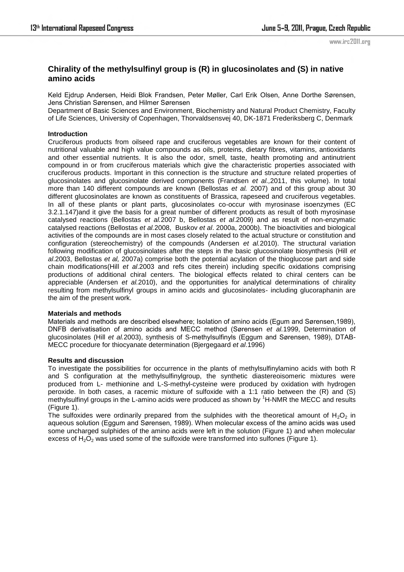www.irc2011.org

# **Chirality of the methylsulfinyl group is (R) in glucosinolates and (S) in native amino acids**

Keld Ejdrup Andersen, Heidi Blok Frandsen, Peter Møller, Carl Erik Olsen, Anne Dorthe Sørensen, Jens Christian Sørensen, and Hilmer Sørensen

Department of Basic Sciences and Environment, Biochemistry and Natural Product Chemistry, Faculty of Life Sciences, University of Copenhagen, Thorvaldsensvej 40, DK-1871 Frederiksberg C, Denmark

## **Introduction**

Cruciferous products from oilseed rape and cruciferous vegetables are known for their content of nutritional valuable and high value compounds as oils, proteins, dietary fibres, vitamins, antioxidants and other essential nutrients. It is also the odor, smell, taste, health promoting and antinutrient compound in or from cruciferous materials which give the characteristic properties associated with cruciferous products. Important in this connection is the structure and structure related properties of glucosinolates and glucosinolate derived components (Frandsen *et al.,*2011, this volume). In total more than 140 different compounds are known (Bellostas *et al.* 2007) and of this group about 30 different glucosinolates are known as constituents of Brassica, rapeseed and cruciferous vegetables. In all of these plants or plant parts, glucosinolates co-occur with myrosinase isoenzymes (EC 3.2.1.147)and it give the basis for a great number of different products as result of both myrosinase catalysed reactions (Bellostas *et al.*2007 b, Bellostas *et al*.2009) and as result of non-enzymatic catalysed reactions (Bellostas *et al.*2008, Buskov *et al*. 2000a, 2000b). The bioactivities and biological activities of the compounds are in most cases closely related to the actual structure or constitution and configuration (stereochemistry) of the compounds (Andersen *et al.*2010). The structural variation following modification of glucosinolates after the steps in the basic glucosinolate biosynthesis (Hill *et al*.2003, Bellostas *et al,* 2007a) comprise both the potential acylation of the thioglucose part and side chain modifications(Hill *et al*.2003 and refs cites therein) including specific oxidations comprising productions of additional chiral centers. The biological effects related to chiral centers can be appreciable (Andersen *et al.*2010), and the opportunities for analytical determinations of chirality resulting from methylsulfinyl groups in amino acids and glucosinolates- including glucoraphanin are the aim of the present work.

### **Materials and methods**

Materials and methods are described elsewhere; Isolation of amino acids (Egum and Sørensen,1989), DNFB derivatisation of amino acids and MECC method (Sørensen *et al.*1999, Determination of glucosinolates (Hill *et al.*2003), synthesis of S-methylsulfinyls (Eggum and Sørensen, 1989), DTAB-MECC procedure for thiocyanate determination (Bjergegaard *et al*.1996)

### **Results and discussion**

To investigate the possibilities for occurrence in the plants of methylsulfinylamino acids with both R and S configuration at the methylsulfinylgroup, the synthetic diastereoisomeric mixtures were produced from L- methionine and L-S-methyl-cysteine were produced by oxidation with hydrogen peroxide. In both cases, a racemic mixture of sulfoxide with a 1:1 ratio between the (R) and (S) methylsulfinyl groups in the L-amino acids were produced as shown by <sup>1</sup>H-NMR the MECC and results (Figure 1).

The sulfoxides were ordinarily prepared from the sulphides with the theoretical amount of  $H_2O_2$  in aqueous solution (Eggum and Sørensen, 1989). When molecular excess of the amino acids was used some uncharged sulphides of the amino acids were left in the solution (Figure 1) and when molecular excess of  $H_2O_2$  was used some of the sulfoxide were transformed into sulfones (Figure 1).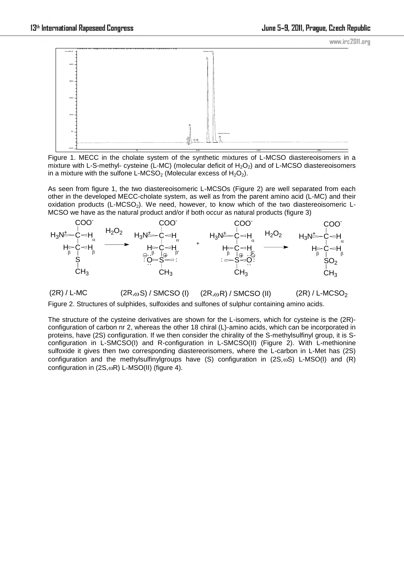

Figure 1. MECC in the cholate system of the synthetic mixtures of L-MCSO diastereoisomers in a mixture with L-S-methyl- cysteine (L-MC) (molecular deficit of  $H_2O_2$ ) and of L-MCSO diastereoisomers in a mixture with the sulfone L-MCSO<sub>2</sub> (Molecular excess of  $H_2O_2$ ).

As seen from figure 1, the two diastereoisomeric L-MCSOs (Figure 2) are well separated from each other in the developed MECC-cholate system, as well as from the parent amino acid (L-MC) and their oxidation products (L-MCSO<sub>2</sub>). We need, however, to know which of the two diastereoisomeric L-MCSO we have as the natural product and/or if both occur as natural products (figure 3)



 $(2R) / L-MC$  (2R,<sub>ω</sub>S) / SMCSO (I) (2R,<sub>ω</sub>R) / SMCSO (II) (2R) / L-MCSO<sub>2</sub> Figure 2. Structures of sulphides, sulfoxides and sulfones of sulphur containing amino acids.

The structure of the cysteine derivatives are shown for the L-isomers, which for cysteine is the (2R) configuration of carbon nr 2, whereas the other 18 chiral (L)-amino acids, which can be incorporated in proteins, have (2S) configuration. If we then consider the chirality of the S-methylsulfinyl group, it is Sconfiguration in L-SMCSO(I) and R-configuration in L-SMCSO(II) (Figure 2). With L-methionine sulfoxide it gives then two corresponding diastereorisomers, where the L-carbon in L-Met has (2S) configuration and the methylsulfinylgroups have (S) configuration in  $(2S, \omega S)$  L-MSO(I) and (R) configuration in  $(2S,\omega R)$  L-MSO(II) (figure 4).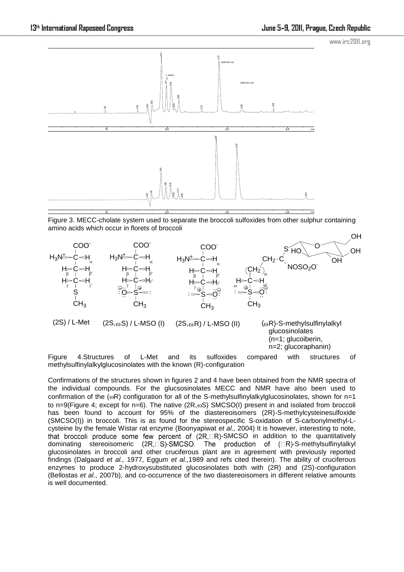www.irc2011.org



Figure 3. MECC-cholate system used to separate the broccoli sulfoxides from other sulphur containing amino acids which occur in florets of broccoli



Figure 4.Structures of L-Met and its sulfoxides compared with structures of methylsulfinylalkylglucosinolates with the known (R)-configuration

Confirmations of the structures shown in figures 2 and 4 have been obtained from the NMR spectra of the individual compounds. For the glucsosinolates MECC and NMR have also been used to confirmation of the ( $\omega$ R) configuration for all of the S-methylsulfinylalkylglucosinolates, shown for n=1 to n=9(Figure 4; except for n=6). The native ( $2R,\omega S$ ) SMCSO(I) present in and isolated from broccoli has been found to account for 95% of the diastereoisomers (2R)-S-methylcysteinesulfoxide (SMCSO(I)) in broccoli. This is as found for the stereospecific S-oxidation of S-carbonylmethyl-Lcysteine by the female Wistar rat enzyme (Boonyapiwat *et al.,* 2004) It is however, interesting to note, that broccoli produce some few percent of  $(2R, \Box R)$ -SMCSO in addition to the quantitatively dominating stereoisomeric  $(2R, \Box S)$ -SMCSO. The production of  $(\Box R)$ -S-methylsulfinylalkyl glucosinolates in broccoli and other cruciferous plant are in agreement with previously reported findings (Dalgaard *et al.,* 1977, Eggum *et al.,*1989 and refs cited therein). The ability of cruciferous enzymes to produce 2-hydroxysubstituted glucosinolates both with (2R) and (2S)-configuration (Bellostas *et al*., 2007b), and co-occurrence of the two diastereoisomers in different relative amounts is well documented.